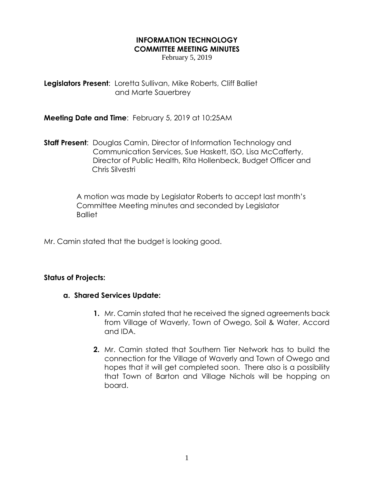## **INFORMATION TECHNOLOGY COMMITTEE MEETING MINUTES**

February 5, 2019

**Legislators Present**: Loretta Sullivan, Mike Roberts, Cliff Balliet and Marte Sauerbrey

**Meeting Date and Time**: February 5, 2019 at 10:25AM

**Staff Present**: Douglas Camin, Director of Information Technology and Communication Services, Sue Haskett, ISO, Lisa McCafferty, Director of Public Health, Rita Hollenbeck, Budget Officer and Chris Silvestri

> A motion was made by Legislator Roberts to accept last month's Committee Meeting minutes and seconded by Legislator **Balliet**

Mr. Camin stated that the budget is looking good.

## **Status of Projects:**

## **a. Shared Services Update:**

- **1.** Mr. Camin stated that he received the signed agreements back from Village of Waverly, Town of Owego, Soil & Water, Accord and IDA.
- **2.** Mr. Camin stated that Southern Tier Network has to build the connection for the Village of Waverly and Town of Owego and hopes that it will get completed soon. There also is a possibility that Town of Barton and Village Nichols will be hopping on board.